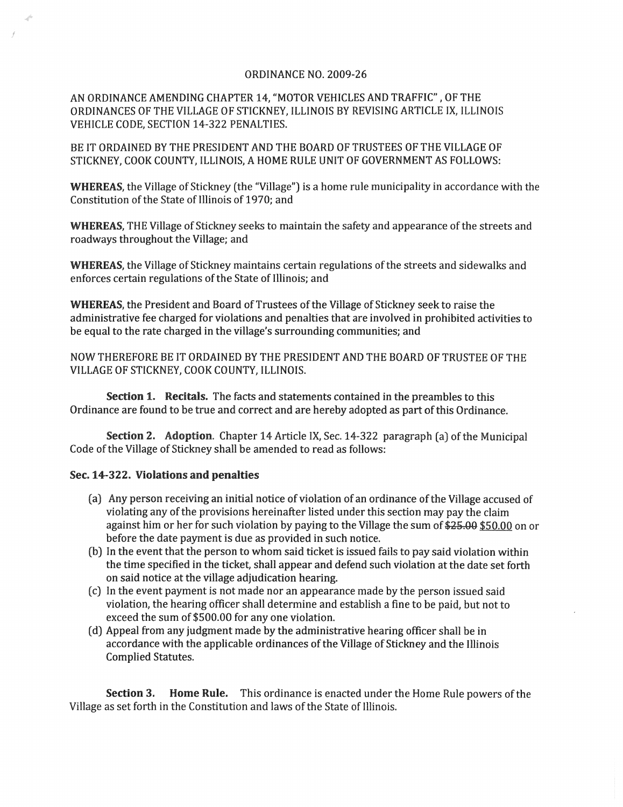## ORDINANCE NO. 2009-26

AN ORDINANCE AMENDING CHAPTER 14, "MOTOR VEHICLES AND TRAFFIC" , OF THE ORDINANCES OF THE VILLAGE OF STICKNEY, ILLINOIS BY REVISING ARTICLE IX, ILLINOIS VEHICLE CODE, SECTION 14-322 PENALTIES.

BE IT ORDAINED BY THE PRESIDENT AND THE BOARD OF TRUSTEES OF THE VILLAGE OF STICKNEY, COOK COUNTY, ILLINOIS, A HOME RULE UNIT OF GOVERNMENT AS FOLLOWS:

WHEREAS, the Village of Stickney (the "Village") is a home rule municipality in accordance with the Constitution of the State of Illinois of 1970; and

WHEREAS, THE Village of Stickney seeks to maintain the safety and appearance of the streets and roadways throughout the Village; and

WHEREAS, the Village of Stickney maintains certain regulations of the streets and sidewalks and enforces certain regulations of the State of Illinois; and

WHEREAS, the President and Board of Trustees of the Village of Stickney seek to raise the administrative fee charged for violations and penalties that are involved in prohibited activities to be equal to the rate charged in the village's surrounding communities; and

NOW THEREFORE BE IT ORDAINED BY THE PRESIDENT AND THE BOARD OF TRUSTEE OF THE VILLAGE OF STICKNEY, COOK COUNTY, ILLINOIS.

Section 1. Recitals. The facts and statements contained in the preambles to this Ordinance are found to be true and correct and are hereby adopted as part of this Ordinance.

Section 2. Adoption. Chapter 14 Article IX, Sec. 14-322 paragraph (a) of the Municipal Code of the Village of Stickney shall be amended to read as follows:

## Sec. 14-322. Violations and penalties

j

- (a) Any person receiving an initial notice of violation of an ordinance of the Village accused of violating any of the provisions hereinafter listed under this section may pay the claim against him or her for such violation by paying to the Village the sum of \$25.00 \$50.00 on or before the date payment is due as provided in such notice.
- (b) In the event that the person to whom said ticket is issued fails to pay said violation within the time specified in the ticket, shall appear and defend such violation at the date set forth on said notice at the village adjudication hearing.
- (c) In the event payment is not made nor an appearance made by the person issued said violation, the hearing officer shall determine and establish a fine to be paid, but not to exceed the sum of \$500.00 for anyone violation.
- (d) Appeal from any judgment made by the administrative hearing officer shall be in accordance with the applicable ordinances of the Village of Stickney and the Illinois Complied Statutes.

Section 3. Home Rule. This ordinance is enacted under the Home Rule powers of the Village as set forth in the Constitution and laws of the State of Illinois.